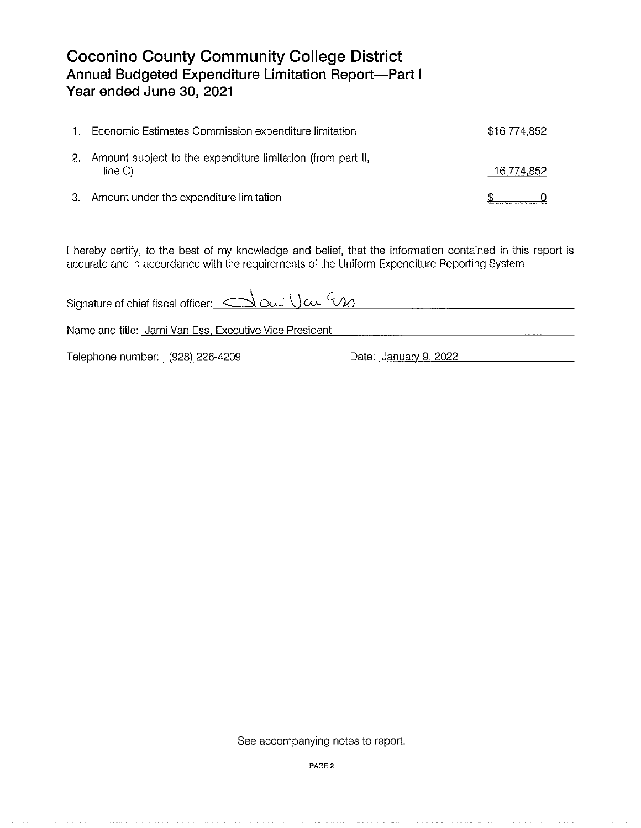## **Coconino County Community College District Annual Budgeted Expenditure Limitation Report-Part I Year ended June 30, 2021**

| 1.  | Economic Estimates Commission expenditure limitation                  | \$16,774,852 |  |
|-----|-----------------------------------------------------------------------|--------------|--|
| -2. | Amount subject to the expenditure limitation (from part II,<br>line C | 16,774,852   |  |
|     | 3. Amount under the expenditure limitation                            |              |  |

I hereby certify, to the best of my knowledge and belief, that the information contained in this report is accurate and in accordance with the requirements of the Uniform Expenditure Reporting System.

| Signature of chief fiscal officer: $\triangle$ and $\vee$ $\triangle$ |                       |
|-----------------------------------------------------------------------|-----------------------|
| Name and title: Jami Van Ess, Executive Vice President                |                       |
| Telephone number: (928) 226-4209                                      | Date: January 9, 2022 |

See accompanying notes to report.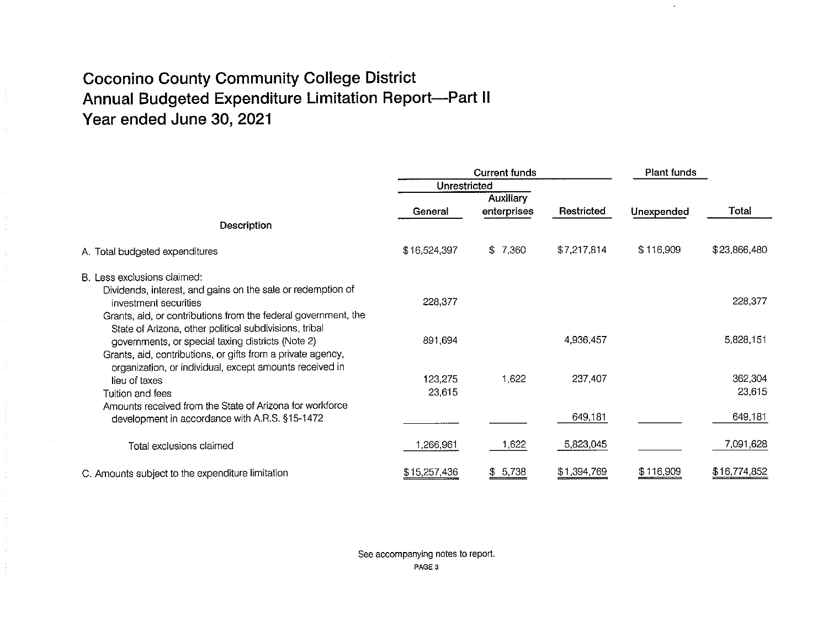# **Coconino County Community College District Annual Budgeted Expenditure Limitation Report-Part II Year ended June 30, 2021**

|                                                                                                                        | <b>Current funds</b><br>Unrestricted |             | Plant funds |            |              |
|------------------------------------------------------------------------------------------------------------------------|--------------------------------------|-------------|-------------|------------|--------------|
|                                                                                                                        |                                      |             |             |            |              |
|                                                                                                                        | <b>Auxiliary</b>                     |             |             |            |              |
|                                                                                                                        | General                              | enterprises | Restricted  | Unexpended | Total        |
| Description                                                                                                            |                                      |             |             |            |              |
| A. Total budgeted expenditures                                                                                         | \$16,524,397                         | \$7,360     | \$7,217,814 | \$116,909  | \$23,866,480 |
| B. Less exclusions claimed:                                                                                            |                                      |             |             |            |              |
| Dividends, interest, and gains on the sale or redemption of                                                            |                                      |             |             |            |              |
| investment securities                                                                                                  | 228,377                              |             |             |            | 228,377      |
| Grants, aid, or contributions from the federal government, the                                                         |                                      |             |             |            |              |
| State of Arizona, other political subdivisions, tribal                                                                 |                                      |             |             |            |              |
| governments, or special taxing districts (Note 2)                                                                      | 891,694                              |             | 4,936,457   |            | 5,828,151    |
| Grants, aid, contributions, or gifts from a private agency,<br>organization, or individual, except amounts received in |                                      |             |             |            |              |
| lieu of taxes                                                                                                          | 123,275                              | 1,622       | 237,407     |            | 362,304      |
| Tuition and fees                                                                                                       | 23,615                               |             |             |            | 23,615       |
| Amounts received from the State of Arizona for workforce                                                               |                                      |             |             |            |              |
| development in accordance with A.R.S. §15-1472                                                                         |                                      |             | 649,181     |            | 649,181      |
|                                                                                                                        |                                      |             |             |            |              |
| Total exclusions claimed                                                                                               | 1,266,961                            | 1,622       | 5,823,045   |            | 7,091,628    |
| C. Amounts subject to the expenditure limitation                                                                       | \$15,257,436                         | \$5,738     | \$1,394,769 | \$116,909  | \$16,774,852 |